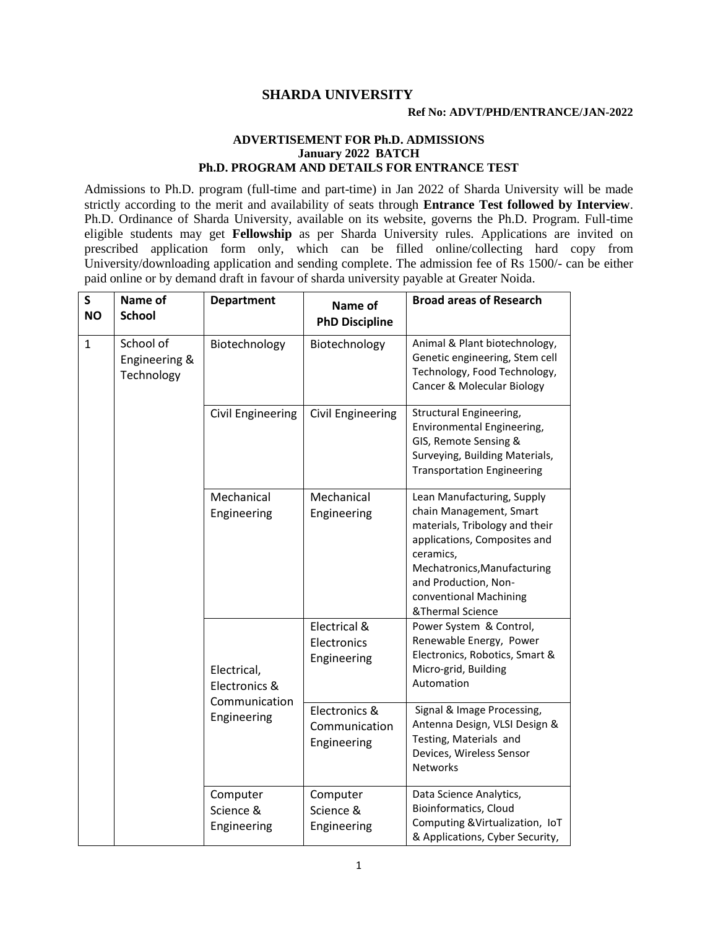## **SHARDA UNIVERSITY**

## **ADVERTISEMENT FOR Ph.D. ADMISSIONS January 2022 BATCH Ph.D. PROGRAM AND DETAILS FOR ENTRANCE TEST**

Admissions to Ph.D. program (full-time and part-time) in Jan 2022 of Sharda University will be made strictly according to the merit and availability of seats through **Entrance Test followed by Interview**. Ph.D. Ordinance of Sharda University, available on its website, governs the Ph.D. Program. Full-time eligible students may get **Fellowship** as per Sharda University rules. Applications are invited on prescribed application form only, which can be filled online/collecting hard copy from University/downloading application and sending complete. The admission fee of Rs 1500/- can be either paid online or by demand draft in favour of sharda university payable at Greater Noida.

| S<br><b>NO</b> | Name of<br><b>School</b>                 | <b>Department</b>                                            | Name of<br><b>PhD Discipline</b>              | <b>Broad areas of Research</b>                                                                                                                                                                                                            |
|----------------|------------------------------------------|--------------------------------------------------------------|-----------------------------------------------|-------------------------------------------------------------------------------------------------------------------------------------------------------------------------------------------------------------------------------------------|
| $\mathbf{1}$   | School of<br>Engineering &<br>Technology | Biotechnology                                                | Biotechnology                                 | Animal & Plant biotechnology,<br>Genetic engineering, Stem cell<br>Technology, Food Technology,<br>Cancer & Molecular Biology                                                                                                             |
|                |                                          | Civil Engineering                                            | Civil Engineering                             | Structural Engineering,<br>Environmental Engineering,<br>GIS, Remote Sensing &<br>Surveying, Building Materials,<br><b>Transportation Engineering</b>                                                                                     |
|                |                                          | Mechanical<br>Engineering                                    | Mechanical<br>Engineering                     | Lean Manufacturing, Supply<br>chain Management, Smart<br>materials, Tribology and their<br>applications, Composites and<br>ceramics,<br>Mechatronics, Manufacturing<br>and Production, Non-<br>conventional Machining<br>&Thermal Science |
|                |                                          | Electrical,<br>Electronics &<br>Communication<br>Engineering | Electrical &<br>Electronics<br>Engineering    | Power System & Control,<br>Renewable Energy, Power<br>Electronics, Robotics, Smart &<br>Micro-grid, Building<br>Automation                                                                                                                |
|                |                                          |                                                              | Electronics &<br>Communication<br>Engineering | Signal & Image Processing,<br>Antenna Design, VLSI Design &<br>Testing, Materials and<br>Devices, Wireless Sensor<br><b>Networks</b>                                                                                                      |
|                |                                          | Computer<br>Science &<br>Engineering                         | Computer<br>Science &<br>Engineering          | Data Science Analytics,<br>Bioinformatics, Cloud<br>Computing & Virtualization, IoT<br>& Applications, Cyber Security,                                                                                                                    |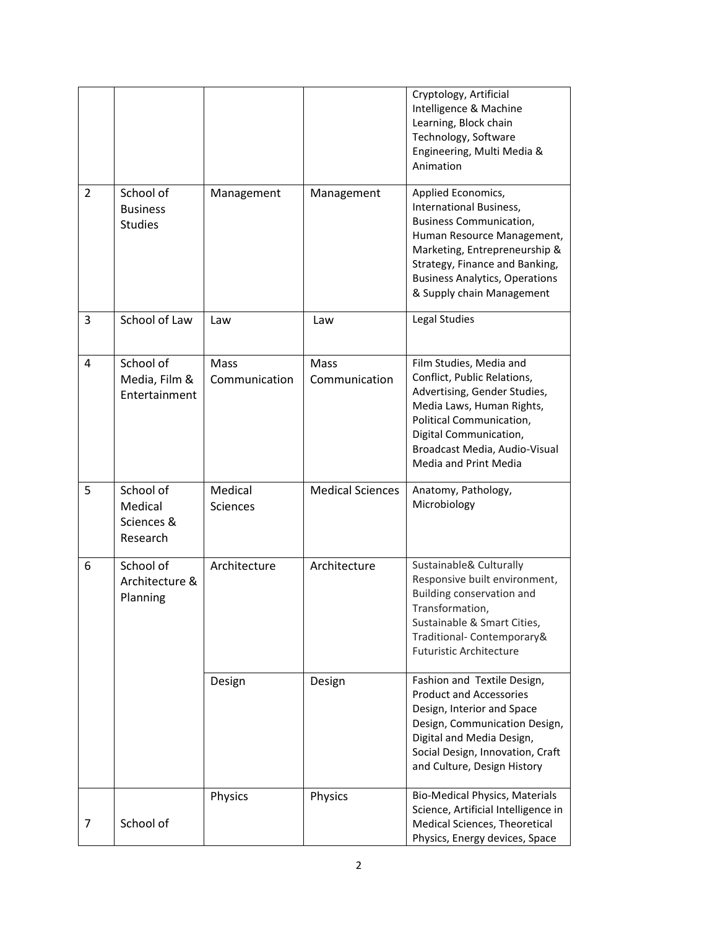|                |                                                |                       |                         | Cryptology, Artificial<br>Intelligence & Machine<br>Learning, Block chain<br>Technology, Software<br>Engineering, Multi Media &<br>Animation                                                                                                           |
|----------------|------------------------------------------------|-----------------------|-------------------------|--------------------------------------------------------------------------------------------------------------------------------------------------------------------------------------------------------------------------------------------------------|
| $\overline{2}$ | School of<br><b>Business</b><br><b>Studies</b> | Management            | Management              | Applied Economics,<br>International Business,<br><b>Business Communication,</b><br>Human Resource Management,<br>Marketing, Entrepreneurship &<br>Strategy, Finance and Banking,<br><b>Business Analytics, Operations</b><br>& Supply chain Management |
| 3              | School of Law                                  | Law                   | Law                     | Legal Studies                                                                                                                                                                                                                                          |
| 4              | School of<br>Media, Film &<br>Entertainment    | Mass<br>Communication | Mass<br>Communication   | Film Studies, Media and<br>Conflict, Public Relations,<br>Advertising, Gender Studies,<br>Media Laws, Human Rights,<br>Political Communication,<br>Digital Communication,<br>Broadcast Media, Audio-Visual<br><b>Media and Print Media</b>             |
| 5              | School of<br>Medical<br>Sciences &<br>Research | Medical<br>Sciences   | <b>Medical Sciences</b> | Anatomy, Pathology,<br>Microbiology                                                                                                                                                                                                                    |
| 6              | School of<br>Architecture &<br>Planning        | Architecture          | Architecture            | Sustainable& Culturally<br>Responsive built environment,<br>Building conservation and<br>Transformation,<br>Sustainable & Smart Cities,<br>Traditional- Contemporary&<br><b>Futuristic Architecture</b>                                                |
|                |                                                | Design                | Design                  | Fashion and Textile Design,<br><b>Product and Accessories</b><br>Design, Interior and Space<br>Design, Communication Design,<br>Digital and Media Design,<br>Social Design, Innovation, Craft<br>and Culture, Design History                           |
| 7              | School of                                      | Physics               | Physics                 | <b>Bio-Medical Physics, Materials</b><br>Science, Artificial Intelligence in<br>Medical Sciences, Theoretical<br>Physics, Energy devices, Space                                                                                                        |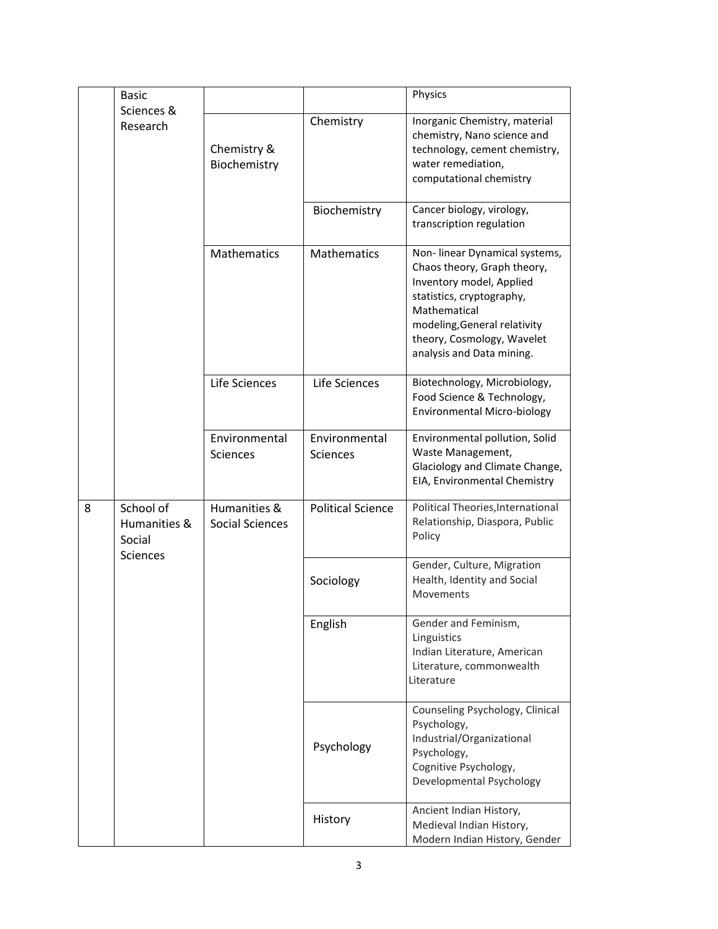|   | <b>Basic</b>                                           |                                        |                                  | Physics                                                                                                                                                                                                                          |  |
|---|--------------------------------------------------------|----------------------------------------|----------------------------------|----------------------------------------------------------------------------------------------------------------------------------------------------------------------------------------------------------------------------------|--|
|   | Sciences &<br>Research                                 | Chemistry &<br>Biochemistry            | Chemistry                        | Inorganic Chemistry, material<br>chemistry, Nano science and<br>technology, cement chemistry,<br>water remediation,<br>computational chemistry                                                                                   |  |
|   |                                                        |                                        | Biochemistry                     | Cancer biology, virology,<br>transcription regulation                                                                                                                                                                            |  |
|   |                                                        | <b>Mathematics</b>                     | <b>Mathematics</b>               | Non-linear Dynamical systems,<br>Chaos theory, Graph theory,<br>Inventory model, Applied<br>statistics, cryptography,<br>Mathematical<br>modeling, General relativity<br>theory, Cosmology, Wavelet<br>analysis and Data mining. |  |
|   |                                                        | Life Sciences                          | Life Sciences                    | Biotechnology, Microbiology,<br>Food Science & Technology,<br>Environmental Micro-biology                                                                                                                                        |  |
|   |                                                        | Environmental<br><b>Sciences</b>       | Environmental<br><b>Sciences</b> | Environmental pollution, Solid<br>Waste Management,<br>Glaciology and Climate Change,<br>EIA, Environmental Chemistry                                                                                                            |  |
| 8 | School of<br>Humanities &<br>Social<br><b>Sciences</b> | Humanities &<br><b>Social Sciences</b> | <b>Political Science</b>         | Political Theories, International<br>Relationship, Diaspora, Public<br>Policy                                                                                                                                                    |  |
|   |                                                        |                                        | Sociology                        | Gender, Culture, Migration<br>Health, Identity and Social<br>Movements                                                                                                                                                           |  |
|   |                                                        |                                        | English                          | Gender and Feminism,<br>Linguistics<br>Indian Literature, American<br>Literature, commonwealth<br>Literature                                                                                                                     |  |
|   |                                                        |                                        | Psychology                       | Counseling Psychology, Clinical<br>Psychology,<br>Industrial/Organizational<br>Psychology,<br>Cognitive Psychology,<br>Developmental Psychology                                                                                  |  |
|   |                                                        |                                        | History                          | Ancient Indian History,<br>Medieval Indian History,<br>Modern Indian History, Gender                                                                                                                                             |  |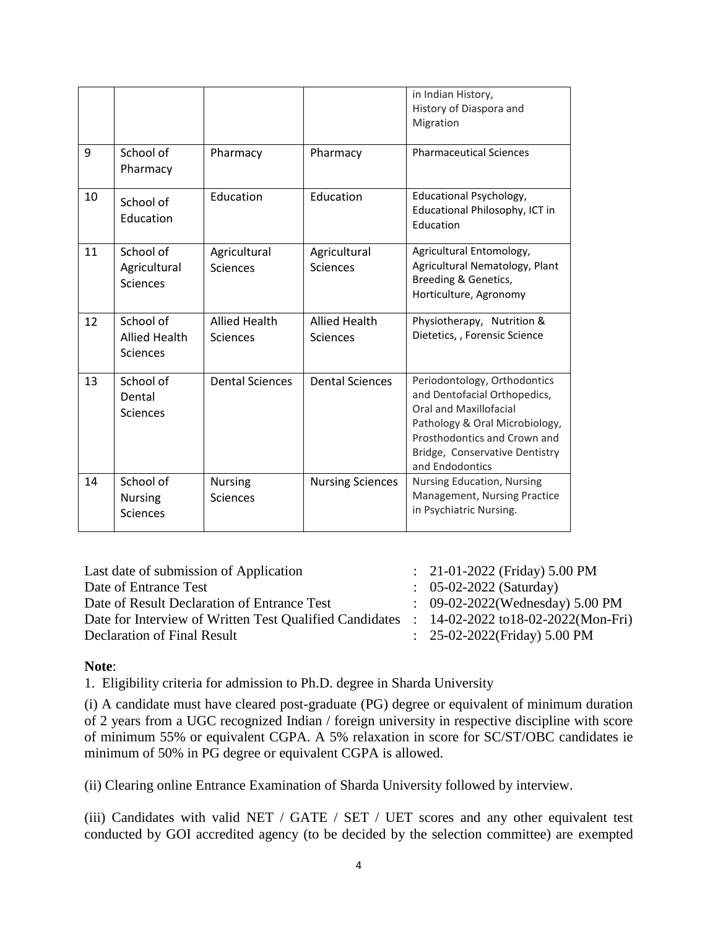|    |                                                |                                   |                                  | in Indian History,<br>History of Diaspora and<br>Migration                                                                                                                                                    |
|----|------------------------------------------------|-----------------------------------|----------------------------------|---------------------------------------------------------------------------------------------------------------------------------------------------------------------------------------------------------------|
| 9  | School of<br>Pharmacy                          | Pharmacy                          | Pharmacy                         | <b>Pharmaceutical Sciences</b>                                                                                                                                                                                |
| 10 | School of<br>Education                         | Education                         | Education                        | Educational Psychology,<br>Educational Philosophy, ICT in<br>Education                                                                                                                                        |
| 11 | School of<br>Agricultural<br><b>Sciences</b>   | Agricultural<br>Sciences          | Agricultural<br>Sciences         | Agricultural Entomology,<br>Agricultural Nematology, Plant<br>Breeding & Genetics,<br>Horticulture, Agronomy                                                                                                  |
| 12 | School of<br><b>Allied Health</b><br>Sciences  | <b>Allied Health</b><br>Sciences  | <b>Allied Health</b><br>Sciences | Physiotherapy, Nutrition &<br>Dietetics, , Forensic Science                                                                                                                                                   |
| 13 | School of<br>Dental<br>Sciences                | <b>Dental Sciences</b>            | <b>Dental Sciences</b>           | Periodontology, Orthodontics<br>and Dentofacial Orthopedics,<br>Oral and Maxillofacial<br>Pathology & Oral Microbiology,<br>Prosthodontics and Crown and<br>Bridge, Conservative Dentistry<br>and Endodontics |
| 14 | School of<br><b>Nursing</b><br><b>Sciences</b> | <b>Nursing</b><br><b>Sciences</b> | <b>Nursing Sciences</b>          | <b>Nursing Education, Nursing</b><br>Management, Nursing Practice<br>in Psychiatric Nursing.                                                                                                                  |

| Last date of submission of Application                                                       | : $21-01-2022$ (Friday) 5.00 PM            |
|----------------------------------------------------------------------------------------------|--------------------------------------------|
| Date of Entrance Test                                                                        | $\therefore$ 05-02-2022 (Saturday)         |
| Date of Result Declaration of Entrance Test                                                  | $\therefore$ 09-02-2022(Wednesday) 5.00 PM |
| Date for Interview of Written Test Qualified Candidates : 14-02-2022 to 18-02-2022 (Mon-Fri) |                                            |
| Declaration of Final Result                                                                  | : $25-02-2022$ (Friday) 5.00 PM            |

## **Note**:

1. Eligibility criteria for admission to Ph.D. degree in Sharda University

(i) A candidate must have cleared post-graduate (PG) degree or equivalent of minimum duration of 2 years from a UGC recognized Indian / foreign university in respective discipline with score of minimum 55% or equivalent CGPA. A 5% relaxation in score for SC/ST/OBC candidates ie minimum of 50% in PG degree or equivalent CGPA is allowed.

(ii) Clearing online Entrance Examination of Sharda University followed by interview.

(iii) Candidates with valid NET / GATE / SET / UET scores and any other equivalent test conducted by GOI accredited agency (to be decided by the selection committee) are exempted